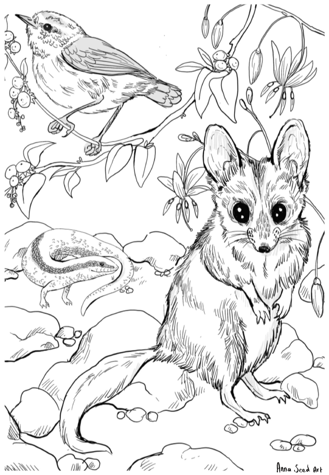